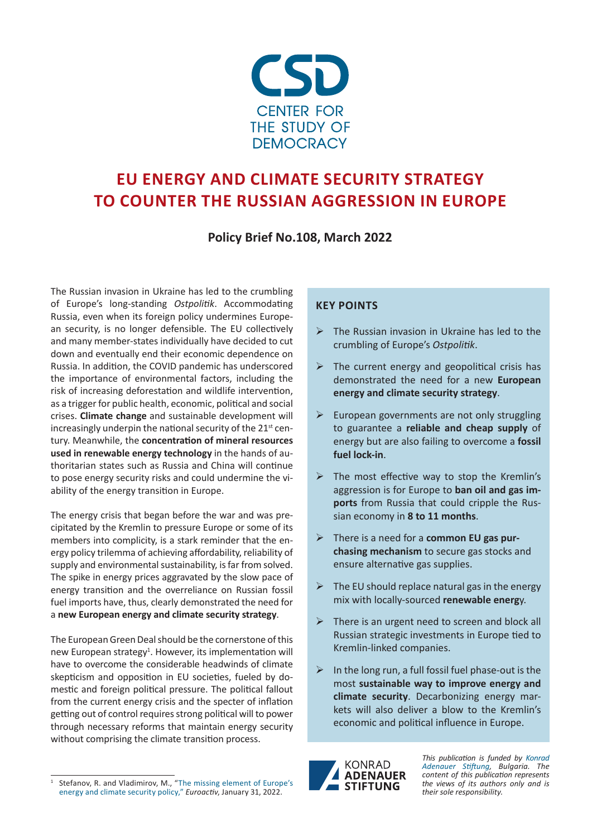

# **EU ENERGY AND CLIMATE SECURITY STRATEGY TO COUNTER THE RUSSIAN AGGRESSION IN EUROPE**

**Policy Brief No.108, March 2022**

The Russian invasion in Ukraine has led to the crumbling of Europe's long-standing *Ostpolitik*. Accommodating Russia, even when its foreign policy undermines European security, is no longer defensible. The EU collectively and many member-states individually have decided to cut down and eventually end their economic dependence on Russia. In addition, the COVID pandemic has underscored the importance of environmental factors, including the risk of increasing deforestation and wildlife intervention, as a trigger for public health, economic, political and social crises. **Climate change** and sustainable development will increasingly underpin the national security of the 21<sup>st</sup> century. Meanwhile, the **concentration of mineral resources used in renewable energy technology** in the hands of authoritarian states such as Russia and China will continue to pose energy security risks and could undermine the viability of the energy transition in Europe.

The energy crisis that began before the war and was precipitated by the Kremlin to pressure Europe or some of its members into complicity, is a stark reminder that the energy policy trilemma of achieving affordability, reliability of supply and environmental sustainability, is far from solved. The spike in energy prices aggravated by the slow pace of energy transition and the overreliance on Russian fossil fuel imports have, thus, clearly demonstrated the need for a **new European energy and climate security strategy**.

The European Green Deal should be the cornerstone of this new European strategy<sup>1</sup>. However, its implementation will have to overcome the considerable headwinds of climate skepticism and opposition in EU societies, fueled by domestic and foreign political pressure. The political fallout from the current energy crisis and the specter of inflation getting out of control requires strong political will to power through necessary reforms that maintain energy security without comprising the climate transition process.

### **KEY POINTS**

- $\triangleright$  The Russian invasion in Ukraine has led to the crumbling of Europe's *Ostpolitik*.
- $\triangleright$  The current energy and geopolitical crisis has demonstrated the need for a new **European energy and climate security strategy**.
- $\triangleright$  European governments are not only struggling to guarantee a **reliable and cheap supply** of energy but are also failing to overcome a **fossil fuel lock-in**.
- $\triangleright$  The most effective way to stop the Kremlin's aggression is for Europe to **ban oil and gas imports** from Russia that could cripple the Russian economy in **8 to 11 months**.
- There is a need for a **common EU gas purchasing mechanism** to secure gas stocks and ensure alternative gas supplies.
- $\triangleright$  The EU should replace natural gas in the energy mix with locally-sourced **renewable energ**y.
- $\triangleright$  There is an urgent need to screen and block all Russian strategic investments in Europe tied to Kremlin-linked companies.
- $\triangleright$  In the long run, a full fossil fuel phase-out is the most **sustainable way to improve energy and climate security**. Decarbonizing energy markets will also deliver a blow to the Kremlin's economic and political influence in Europe.



*This publication is funded by [Konrad](https://www.kas.de/de/web/bulgarienhttps://www.kas.de/de/web/bulgarien) [Adenauer Stiftung,](https://www.kas.de/de/web/bulgarienhttps://www.kas.de/de/web/bulgarien) Bulgaria. The content of this publication represents the views of its authors only and is their sole responsibility.*

Stefanov, R. and Vladimirov, M., "The missing element of Europe's [energy and climate security policy](https://www.euractiv.com/section/energy/opinion/the-missing-element-of-europes-energy-and-climate-security-policy/)," *Euroactiv*, January 31, 2022.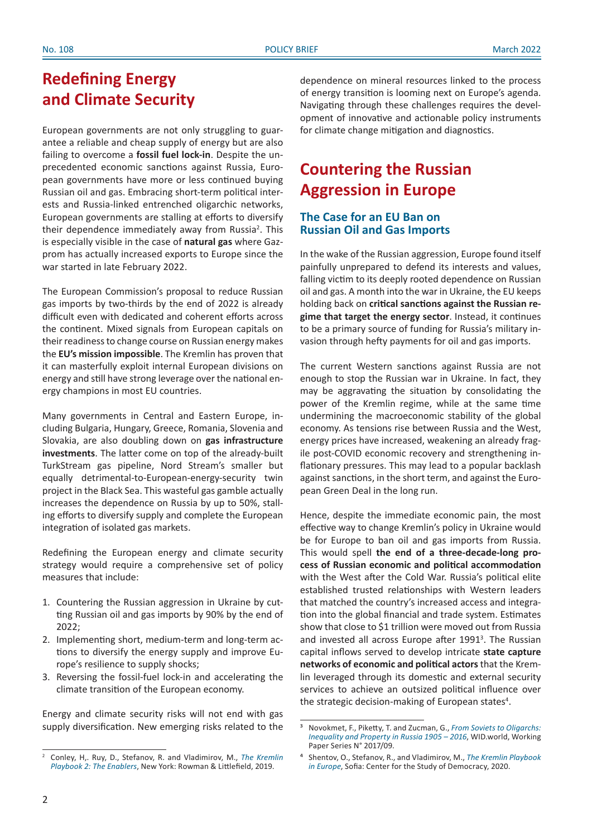### **Redefining Energy and Climate Security**

European governments are not only struggling to guarantee a reliable and cheap supply of energy but are also failing to overcome a **fossil fuel lock-in**. Despite the unprecedented economic sanctions against Russia, European governments have more or less continued buying Russian oil and gas. Embracing short-term political interests and Russia-linked entrenched oligarchic networks, European governments are stalling at efforts to diversify their dependence immediately away from Russia<sup>2</sup>. This is especially visible in the case of **natural gas** where Gazprom has actually increased exports to Europe since the war started in late February 2022.

The European Commission's proposal to reduce Russian gas imports by two-thirds by the end of 2022 is already difficult even with dedicated and coherent efforts across the continent. Mixed signals from European capitals on their readiness to change course on Russian energy makes the **EU's mission impossible**. The Kremlin has proven that it can masterfully exploit internal European divisions on energy and still have strong leverage over the national energy champions in most EU countries.

Many governments in Central and Eastern Europe, including Bulgaria, Hungary, Greece, Romania, Slovenia and Slovakia, are also doubling down on **gas infrastructure investments**. The latter come on top of the already-built TurkStream gas pipeline, Nord Stream's smaller but equally detrimental-to-European-energy-security twin project in the Black Sea. This wasteful gas gamble actually increases the dependence on Russia by up to 50%, stalling efforts to diversify supply and complete the European integration of isolated gas markets.

Redefining the European energy and climate security strategy would require a comprehensive set of policy measures that include:

- 1. Countering the Russian aggression in Ukraine by cutting Russian oil and gas imports by 90% by the end of 2022;
- 2. Implementing short, medium-term and long-term actions to diversify the energy supply and improve Europe's resilience to supply shocks;
- 3. Reversing the fossil-fuel lock-in and accelerating the climate transition of the European economy.

Energy and climate security risks will not end with gas supply diversification. New emerging risks related to the dependence on mineral resources linked to the process of energy transition is looming next on Europe's agenda. Navigating through these challenges requires the development of innovative and actionable policy instruments for climate change mitigation and diagnostics.

## **Countering the Russian Aggression in Europe**

### **The Case for an EU Ban on Russian Oil and Gas Imports**

In the wake of the Russian aggression, Europe found itself painfully unprepared to defend its interests and values, falling victim to its deeply rooted dependence on Russian oil and gas. A month into the war in Ukraine, the EU keeps holding back on **critical sanctions against the Russian regime that target the energy sector**. Instead, it continues to be a primary source of funding for Russia's military invasion through hefty payments for oil and gas imports.

The current Western sanctions against Russia are not enough to stop the Russian war in Ukraine. In fact, they may be aggravating the situation by consolidating the power of the Kremlin regime, while at the same time undermining the macroeconomic stability of the global economy. As tensions rise between Russia and the West, energy prices have increased, weakening an already fragile post-COVID economic recovery and strengthening inflationary pressures. This may lead to a popular backlash against sanctions, in the short term, and against the European Green Deal in the long run.

Hence, despite the immediate economic pain, the most effective way to change Kremlin's policy in Ukraine would be for Europe to ban oil and gas imports from Russia. This would spell **the end of a three-decade-long process of Russian economic and political accommodation**  with the West after the Cold War. Russia's political elite established trusted relationships with Western leaders that matched the country's increased access and integration into the global financial and trade system. Estimates show that close to \$1 trillion were moved out from Russia and invested all across Europe after 1991<sup>3</sup>. The Russian capital inflows served to develop intricate **state capture networks of economic and political actors** that the Kremlin leveraged through its domestic and external security services to achieve an outsized political influence over the strategic decision-making of European states<sup>4</sup>.

<sup>2</sup> Conley, H,. Ruy, D., Stefanov, R. and Vladimirov, M., *[The Kremlin](https://csd.bg/publications/publication/the-kremlin-playbook-2-the-enablers/)  [Playbook 2: The Enablers](https://csd.bg/publications/publication/the-kremlin-playbook-2-the-enablers/)*, New York: Rowman & Littlefield, 2019.

³ Novokmet, F., Piketty, T. and Zucman, G., *[From Soviets to Oligarchs:](http://piketty.pse.ens.fr/files/NPZ2017WIDworld.pdf) [Inequality and Property in Russia 1905](http://piketty.pse.ens.fr/files/NPZ2017WIDworld.pdf) – 2016*, WID.world, Working Paper Series N° 2017/09.

⁴ Shentov, O., Stefanov, R., and Vladimirov, M., *[The Kremlin Playbook](https://csd.bg/publications/publication/the-kremlin-playbook-in-europe/) [in Europe](https://csd.bg/publications/publication/the-kremlin-playbook-in-europe/)*, Sofia: Center for the Study of Democracy, 2020.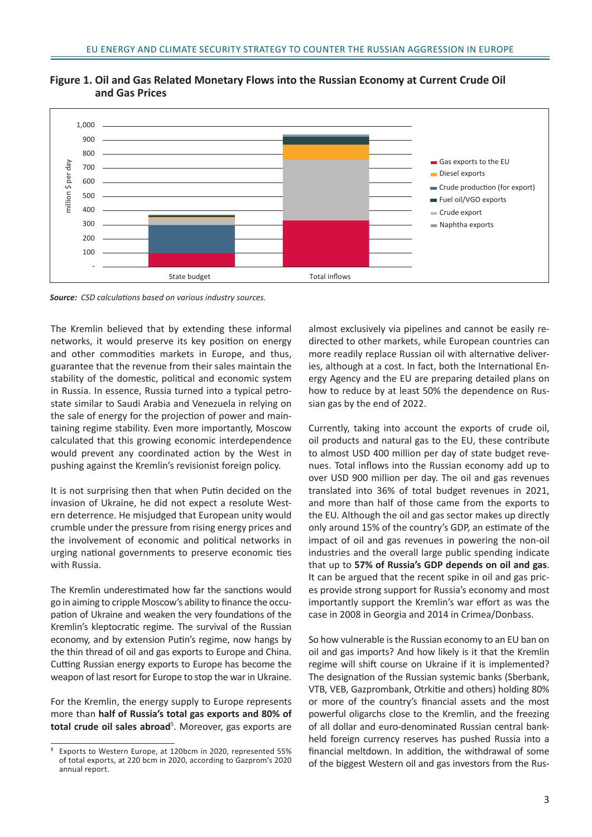

**Figure 1. Oil and Gas Related Monetary Flows into the Russian Economy at Current Crude Oil and Gas Prices**

*Source: CSD calculations based on various industry sources.*

The Kremlin believed that by extending these informal networks, it would preserve its key position on energy and other commodities markets in Europe, and thus, guarantee that the revenue from their sales maintain the stability of the domestic, political and economic system in Russia. In essence, Russia turned into a typical petrostate similar to Saudi Arabia and Venezuela in relying on the sale of energy for the projection of power and maintaining regime stability. Even more importantly, Moscow calculated that this growing economic interdependence would prevent any coordinated action by the West in pushing against the Kremlin's revisionist foreign policy.

It is not surprising then that when Putin decided on the invasion of Ukraine, he did not expect a resolute Western deterrence. He misjudged that European unity would crumble under the pressure from rising energy prices and the involvement of economic and political networks in urging national governments to preserve economic ties with Russia.

The Kremlin underestimated how far the sanctions would go in aiming to cripple Moscow's ability to finance the occupation of Ukraine and weaken the very foundations of the Kremlin's kleptocratic regime. The survival of the Russian economy, and by extension Putin's regime, now hangs by the thin thread of oil and gas exports to Europe and China. Cutting Russian energy exports to Europe has become the weapon of last resort for Europe to stop the war in Ukraine.

For the Kremlin, the energy supply to Europe represents more than **half of Russia's total gas exports and 80% of**  total crude oil sales abroad<sup>5</sup>. Moreover, gas exports are almost exclusively via pipelines and cannot be easily redirected to other markets, while European countries can more readily replace Russian oil with alternative deliveries, although at a cost. In fact, both the International Energy Agency and the EU are preparing detailed plans on how to reduce by at least 50% the dependence on Russian gas by the end of 2022.

Currently, taking into account the exports of crude oil, oil products and natural gas to the EU, these contribute to almost USD 400 million per day of state budget revenues. Total inflows into the Russian economy add up to over USD 900 million per day. The oil and gas revenues translated into 36% of total budget revenues in 2021, and more than half of those came from the exports to the EU. Although the oil and gas sector makes up directly only around 15% of the country's GDP, an estimate of the impact of oil and gas revenues in powering the non-oil industries and the overall large public spending indicate that up to **57% of Russia's GDP depends on oil and gas**. It can be argued that the recent spike in oil and gas prices provide strong support for Russia's economy and most importantly support the Kremlin's war effort as was the case in 2008 in Georgia and 2014 in Crimea/Donbass.

So how vulnerable is the Russian economy to an EU ban on oil and gas imports? And how likely is it that the Kremlin regime will shift course on Ukraine if it is implemented? The designation of the Russian systemic banks (Sberbank, VTB, VEB, Gazprombank, Otrkitie and others) holding 80% or more of the country's financial assets and the most powerful oligarchs close to the Kremlin, and the freezing of all dollar and euro-denominated Russian central bankheld foreign currency reserves has pushed Russia into a financial meltdown. In addition, the withdrawal of some of the biggest Western oil and gas investors from the Rus-

⁵ Exports to Western Europe, at 120bcm in 2020, represented 55% of total exports, at 220 bcm in 2020, according to Gazprom's 2020 annual report.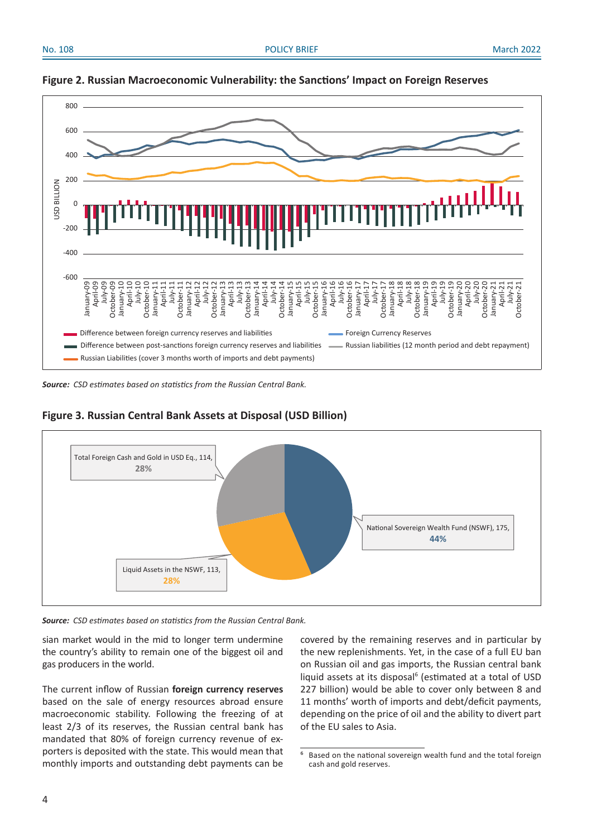October-21

October-21





*Source: CSD estimates based on statistics from the Russian Central Bank.* 



### **Figure 3. Russian Central Bank Assets at Disposal (USD Billion)**

*Source: CSD estimates based on statistics from the Russian Central Bank.*

sian market would in the mid to longer term undermine the country's ability to remain one of the biggest oil and gas producers in the world.

The current inflow of Russian **foreign currency reserves** based on the sale of energy resources abroad ensure macroeconomic stability. Following the freezing of at least 2/3 of its reserves, the Russian central bank has mandated that 80% of foreign currency revenue of exporters is deposited with the state. This would mean that monthly imports and outstanding debt payments can be covered by the remaining reserves and in particular by the new replenishments. Yet, in the case of a full EU ban on Russian oil and gas imports, the Russian central bank liquid assets at its disposal<sup>6</sup> (estimated at a total of USD 227 billion) would be able to cover only between 8 and 11 months' worth of imports and debt/deficit payments, depending on the price of oil and the ability to divert part of the EU sales to Asia.

⁶ Based on the national sovereign wealth fund and the total foreign cash and gold reserves.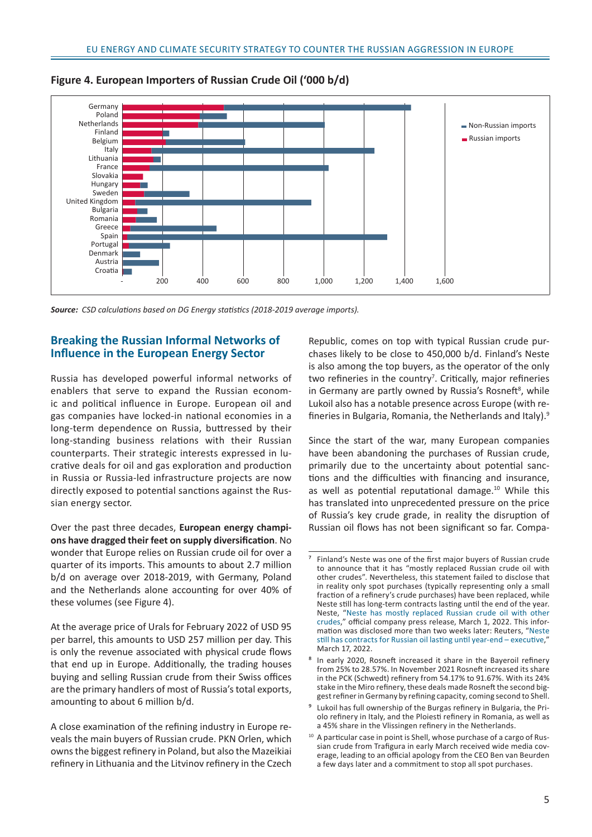

**Figure 4. European Importers of Russian Crude Oil ('000 b/d)**

*Source: CSD calculations based on DG Energy statistics (2018-2019 average imports).*

### **Breaking the Russian Informal Networks of Influence in the European Energy Sector**

Russia has developed powerful informal networks of enablers that serve to expand the Russian economic and political influence in Europe. European oil and gas companies have locked-in national economies in a long-term dependence on Russia, buttressed by their long-standing business relations with their Russian counterparts. Their strategic interests expressed in lucrative deals for oil and gas exploration and production in Russia or Russia-led infrastructure projects are now directly exposed to potential sanctions against the Russian energy sector.

Over the past three decades, **European energy champions have dragged their feet on supply diversification**. No wonder that Europe relies on Russian crude oil for over a quarter of its imports. This amounts to about 2.7 million b/d on average over 2018-2019, with Germany, Poland and the Netherlands alone accounting for over 40% of these volumes (see Figure 4).

At the average price of Urals for February 2022 of USD 95 per barrel, this amounts to USD 257 million per day. This is only the revenue associated with physical crude flows that end up in Europe. Additionally, the trading houses buying and selling Russian crude from their Swiss offices are the primary handlers of most of Russia's total exports, amounting to about 6 million b/d.

A close examination of the refining industry in Europe reveals the main buyers of Russian crude. PKN Orlen, which owns the biggest refinery in Poland, but also the Mazeikiai refinery in Lithuania and the Litvinov refinery in the Czech

Republic, comes on top with typical Russian crude purchases likely to be close to 450,000 b/d. Finland's Neste is also among the top buyers, as the operator of the only two refineries in the country<sup>7</sup>. Critically, major refineries in Germany are partly owned by Russia's Rosneft<sup>8</sup>, while Lukoil also has a notable presence across Europe (with refineries in Bulgaria, Romania, the Netherlands and Italy).9

Since the start of the war, many European companies have been abandoning the purchases of Russian crude, primarily due to the uncertainty about potential sanctions and the difficulties with financing and insurance, as well as potential reputational damage.10 While this has translated into unprecedented pressure on the price of Russia's key crude grade, in reality the disruption of Russian oil flows has not been significant so far. Compa-

⁷ Finland's Neste was one of the first major buyers of Russian crude to announce that it has "mostly replaced Russian crude oil with other crudes". Nevertheless, this statement failed to disclose that in reality only spot purchases (typically representing only a small fraction of a refinery's crude purchases) have been replaced, while Neste still has long-term contracts lasting until the end of the year. Neste, "[Neste has mostly replaced Russian crude oil with other](https://www.neste.com/releases-and-news/oil-products/neste-has-mostly-replaced-russian-crude-oil-other-crudes)  [crudes](https://www.neste.com/releases-and-news/oil-products/neste-has-mostly-replaced-russian-crude-oil-other-crudes)," official company press release, March 1, 2022. This information was disclosed more than two weeks later: Reuters, "[Neste](https://www.reuters.com/business/energy/neste-still-has-contracts-russian-oil-lasting-until-year-end-executive-2022-03-17/)  [still has contracts for Russian oil lasting until year-end](https://www.reuters.com/business/energy/neste-still-has-contracts-russian-oil-lasting-until-year-end-executive-2022-03-17/) – executive," March 17, 2022.

⁸ In early 2020, Rosneft increased it share in the Bayeroil refinery from 25% to 28.57%. In November 2021 Rosneft increased its share in the PCK (Schwedt) refinery from 54.17% to 91.67%. With its 24% stake in the Miro refinery, these deals made Rosneft the second biggest refiner in Germany by refining capacity, coming second to Shell.

⁹ Lukoil has full ownership of the Burgas refinery in Bulgaria, the Priolo refinery in Italy, and the Ploiesti refinery in Romania, as well as a 45% share in the Vlissingen refinery in the Netherlands.

<sup>&</sup>lt;sup>10</sup> A particular case in point is Shell, whose purchase of a cargo of Russian crude from Trafigura in early March received wide media coverage, leading to an official apology from the CEO Ben van Beurden a few days later and a commitment to stop all spot purchases.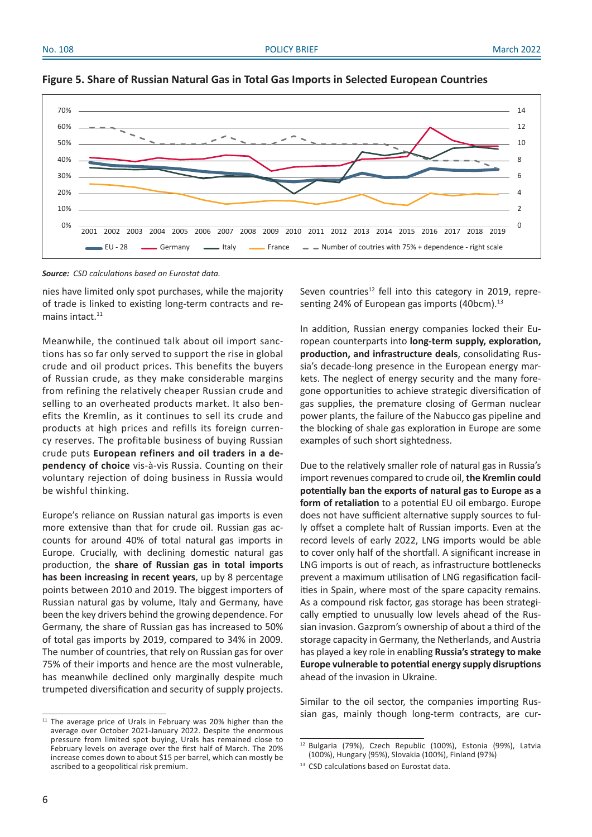



*Source: CSD calculations based on Eurostat data.*

nies have limited only spot purchases, while the majority of trade is linked to existing long-term contracts and remains intact.<sup>11</sup>

Meanwhile, the continued talk about oil import sanctions has so far only served to support the rise in global crude and oil product prices. This benefits the buyers of Russian crude, as they make considerable margins from refining the relatively cheaper Russian crude and selling to an overheated products market. It also benefits the Kremlin, as it continues to sell its crude and products at high prices and refills its foreign currency reserves. The profitable business of buying Russian crude puts **European refiners and oil traders in a dependency of choice** vis-à-vis Russia. Counting on their voluntary rejection of doing business in Russia would be wishful thinking.

Europe's reliance on Russian natural gas imports is even more extensive than that for crude oil. Russian gas accounts for around 40% of total natural gas imports in Europe. Crucially, with declining domestic natural gas production, the **share of Russian gas in total imports has been increasing in recent years**, up by 8 percentage points between 2010 and 2019. The biggest importers of Russian natural gas by volume, Italy and Germany, have been the key drivers behind the growing dependence. For Germany, the share of Russian gas has increased to 50% of total gas imports by 2019, compared to 34% in 2009. The number of countries, that rely on Russian gas for over 75% of their imports and hence are the most vulnerable, has meanwhile declined only marginally despite much trumpeted diversification and security of supply projects.

 $11$  The average price of Urals in February was 20% higher than the average over October 2021-January 2022. Despite the enormous pressure from limited spot buying, Urals has remained close to February levels on average over the first half of March. The 20% increase comes down to about \$15 per barrel, which can mostly be ascribed to a geopolitical risk premium.

Seven countries<sup>12</sup> fell into this category in 2019, representing 24% of European gas imports (40bcm).<sup>13</sup>

In addition, Russian energy companies locked their European counterparts into **long-term supply, exploration, production, and infrastructure deals**, consolidating Russia's decade-long presence in the European energy markets. The neglect of energy security and the many foregone opportunities to achieve strategic diversification of gas supplies, the premature closing of German nuclear power plants, the failure of the Nabucco gas pipeline and the blocking of shale gas exploration in Europe are some examples of such short sightedness.

Due to the relatively smaller role of natural gas in Russia's import revenues compared to crude oil, **the Kremlin could potentially ban the exports of natural gas to Europe as a form of retaliation** to a potential EU oil embargo. Europe does not have sufficient alternative supply sources to fully offset a complete halt of Russian imports. Even at the record levels of early 2022, LNG imports would be able to cover only half of the shortfall. A significant increase in LNG imports is out of reach, as infrastructure bottlenecks prevent a maximum utilisation of LNG regasification facilities in Spain, where most of the spare capacity remains. As a compound risk factor, gas storage has been strategically emptied to unusually low levels ahead of the Russian invasion. Gazprom's ownership of about a third of the storage capacity in Germany, the Netherlands, and Austria has played a key role in enabling **Russia's strategy to make Europe vulnerable to potential energy supply disruptions** ahead of the invasion in Ukraine.

Similar to the oil sector, the companies importing Russian gas, mainly though long-term contracts, are cur-

<sup>12</sup> Bulgaria (79%), Czech Republic (100%), Estonia (99%), Latvia (100%), Hungary (95%), Slovakia (100%), Finland (97%)

<sup>&</sup>lt;sup>13</sup> CSD calculations based on Eurostat data.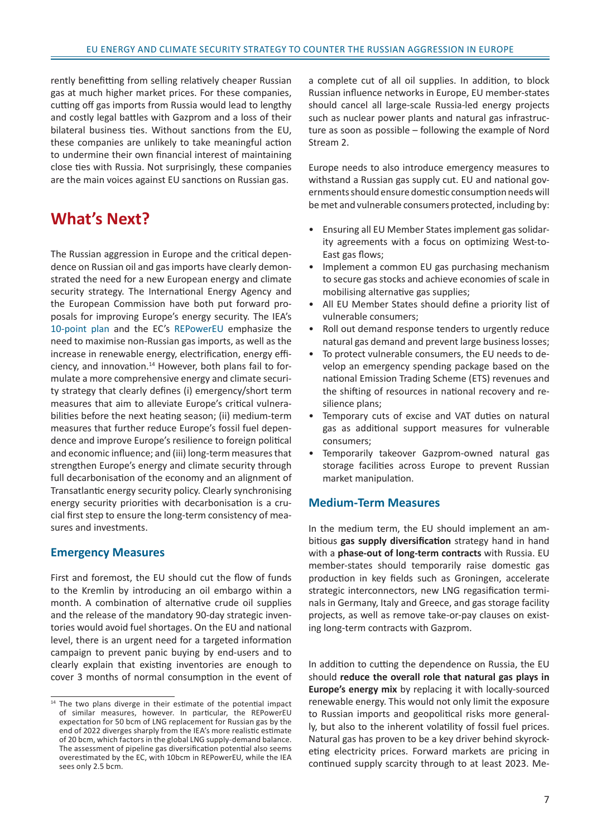rently benefitting from selling relatively cheaper Russian gas at much higher market prices. For these companies, cutting off gas imports from Russia would lead to lengthy and costly legal battles with Gazprom and a loss of their bilateral business ties. Without sanctions from the EU, these companies are unlikely to take meaningful action to undermine their own financial interest of maintaining close ties with Russia. Not surprisingly, these companies are the main voices against EU sanctions on Russian gas.

### **What's Next?**

The Russian aggression in Europe and the critical dependence on Russian oil and gas imports have clearly demonstrated the need for a new European energy and climate security strategy. The International Energy Agency and the European Commission have both put forward proposals for improving Europe's energy security. The IEA's [10-point plan](https://www.iea.org/reports/a-10-point-plan-to-reduce-the-european-unions-reliance-on-russian-natural-gas) and the EC's [REPowerEU](https://eur-lex.europa.eu/legal-content/EN/TXT/?uri=COM%3A2022%3A108%3AFIN) emphasize the need to maximise non-Russian gas imports, as well as the increase in renewable energy, electrification, energy efficiency, and innovation.14 However, both plans fail to formulate a more comprehensive energy and climate security strategy that clearly defines (i) emergency/short term measures that aim to alleviate Europe's critical vulnerabilities before the next heating season; (ii) medium-term measures that further reduce Europe's fossil fuel dependence and improve Europe's resilience to foreign political and economic influence; and (iii) long-term measures that strengthen Europe's energy and climate security through full decarbonisation of the economy and an alignment of Transatlantic energy security policy. Clearly synchronising energy security priorities with decarbonisation is a crucial first step to ensure the long-term consistency of measures and investments.

### **Emergency Measures**

First and foremost, the EU should cut the flow of funds to the Kremlin by introducing an oil embargo within a month. A combination of alternative crude oil supplies and the release of the mandatory 90-day strategic inventories would avoid fuel shortages. On the EU and national level, there is an urgent need for a targeted information campaign to prevent panic buying by end-users and to clearly explain that existing inventories are enough to cover 3 months of normal consumption in the event of a complete cut of all oil supplies. In addition, to block Russian influence networks in Europe, EU member-states should cancel all large-scale Russia-led energy projects such as nuclear power plants and natural gas infrastructure as soon as possible – following the example of Nord Stream 2.

Europe needs to also introduce emergency measures to withstand a Russian gas supply cut. EU and national governments should ensure domestic consumption needs will be met and vulnerable consumers protected, including by:

- Ensuring all EU Member States implement gas solidarity agreements with a focus on optimizing West-to-East gas flows;
- Implement a common EU gas purchasing mechanism to secure gas stocks and achieve economies of scale in mobilising alternative gas supplies;
- All EU Member States should define a priority list of vulnerable consumers;
- Roll out demand response tenders to urgently reduce natural gas demand and prevent large business losses;
- To protect vulnerable consumers, the EU needs to develop an emergency spending package based on the national Emission Trading Scheme (ETS) revenues and the shifting of resources in national recovery and resilience plans;
- Temporary cuts of excise and VAT duties on natural gas as additional support measures for vulnerable consumers;
- Temporarily takeover Gazprom-owned natural gas storage facilities across Europe to prevent Russian market manipulation.

#### **Medium-Term Measures**

In the medium term, the EU should implement an ambitious **gas supply diversification** strategy hand in hand with a **phase-out of long-term contracts** with Russia. EU member-states should temporarily raise domestic gas production in key fields such as Groningen, accelerate strategic interconnectors, new LNG regasification terminals in Germany, Italy and Greece, and gas storage facility projects, as well as remove take-or-pay clauses on existing long-term contracts with Gazprom.

In addition to cutting the dependence on Russia, the EU should **reduce the overall role that natural gas plays in Europe's energy mix** by replacing it with locally-sourced renewable energy. This would not only limit the exposure to Russian imports and geopolitical risks more generally, but also to the inherent volatility of fossil fuel prices. Natural gas has proven to be a key driver behind skyrocketing electricity prices. Forward markets are pricing in continued supply scarcity through to at least 2023. Me-

<sup>&</sup>lt;sup>14</sup> The two plans diverge in their estimate of the potential impact of similar measures, however. In particular, the REPowerEU expectation for 50 bcm of LNG replacement for Russian gas by the end of 2022 diverges sharply from the IEA's more realistic estimate of 20 bcm, which factors in the global LNG supply-demand balance. The assessment of pipeline gas diversification potential also seems overestimated by the EC, with 10bcm in REPowerEU, while the IEA sees only 2.5 bcm.